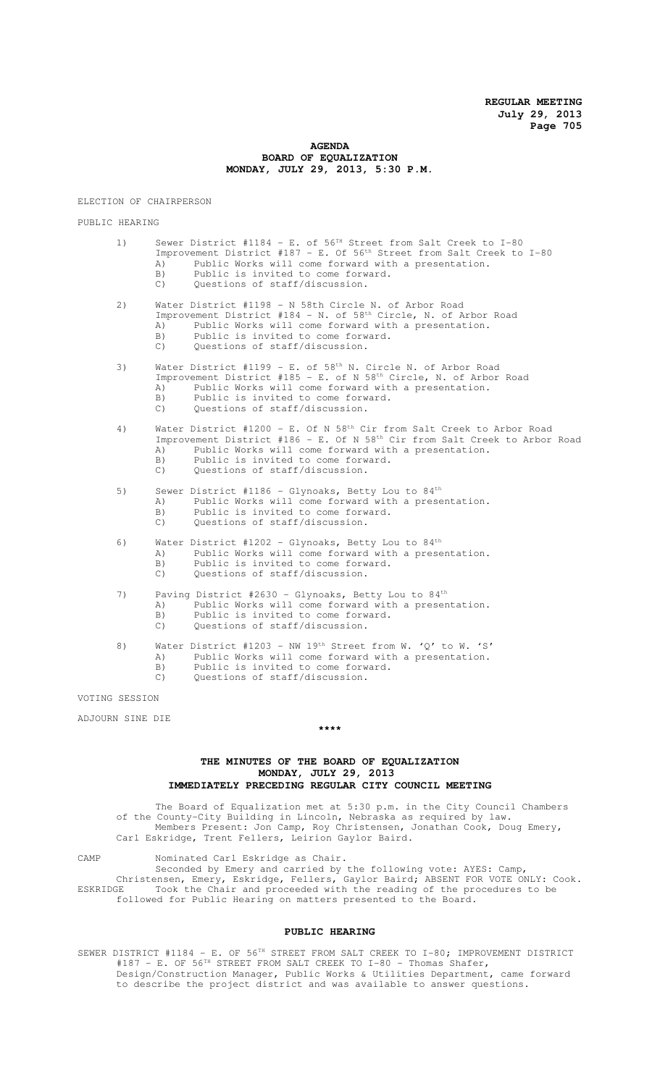### **AGENDA BOARD OF EQUALIZATION MONDAY, JULY 29, 2013, 5:30 P.M.**

ELECTION OF CHAIRPERSON

PUBLIC HEARING

1) Sewer District #1184 - E. of 56<sup>TH</sup> Street from Salt Creek to I-80 Improvement District #187 - E. Of 56<sup>th</sup> Street from Salt Creek to I-80 A) Public Works will come forward with a presentation.<br>B) Public is invited to come forward. Public is invited to come forward.

C) Questions of staff/discussion.

2) Water District #1198 - N 58th Circle N. of Arbor Road Improvement District #184 - N. of 58<sup>th</sup> Circle, N. of Arbor Road A) Public Works will come forward with a presentation. B) Public is invited to come forward.<br>C) Ouestions of staff/discussion. Ouestions of staff/discussion.

- 
- 3) Water District #1199 E. of  $58<sup>th</sup>$  N. Circle N. of Arbor Road Improvement District #185 - E. of N 58th Circle, N. of Arbor Road
	- A) Public Works will come forward with a presentation.
	- B) Public is invited to come forward.
	- C) Questions of staff/discussion.

#### 4) Water District #1200 - E. Of N 58th Cir from Salt Creek to Arbor Road Improvement District #186 - E. Of N 58th Cir from Salt Creek to Arbor Road A) Public Works will come forward with a presentation. B) Public is invited to come forward.

- C) Questions of staff/discussion.
- 5) Sewer District #1186 Glynoaks, Betty Lou to  $84<sup>th</sup>$ A) Public Works will come forward with a presentation. B) Public is invited to come forward. C) Questions of staff/discussion.
	-
- 6) Water District #1202 Glynoaks, Betty Lou to  $84<sup>th</sup>$ <br>A) Public Works will come forward with a prese Public Works will come forward with a presentation. B) Public is invited to come forward. C) Questions of staff/discussion.
- 7) Paving District #2630 Glynoaks, Betty Lou to 84<sup>th</sup> A) Public Works will come forward with a presentation. B) Public is invited to come forward. C) Questions of staff/discussion.
- 8) Water District #1203 NW 19<sup>th</sup> Street from W. 'Q' to W. 'S' A) Public Works will come forward with a presentation. B) Public is invited to come forward. C) Questions of staff/discussion.

VOTING SESSION

ADJOURN SINE DIE

#### **\*\*\*\***

## **THE MINUTES OF THE BOARD OF EQUALIZATION MONDAY, JULY 29, 2013 IMMEDIATELY PRECEDING REGULAR CITY COUNCIL MEETING**

The Board of Equalization met at 5:30 p.m. in the City Council Chambers of the County-City Building in Lincoln, Nebraska as required by law. Members Present: Jon Camp, Roy Christensen, Jonathan Cook, Doug Emery, Carl Eskridge, Trent Fellers, Leirion Gaylor Baird.

CAMP Nominated Carl Eskridge as Chair.

Seconded by Emery and carried by the following vote: AYES: Camp, Christensen, Emery, Eskridge, Fellers, Gaylor Baird; ABSENT FOR VOTE ONLY: Cook. ESKRIDGE Took the Chair and proceeded with the reading of the procedures to be followed for Public Hearing on matters presented to the Board.

## **PUBLIC HEARING**

SEWER DISTRICT #1184 - E. OF 56TH STREET FROM SALT CREEK TO I-80; IMPROVEMENT DISTRICT #187 - E. OF 56TH STREET FROM SALT CREEK TO I-80 - Thomas Shafer, Design/Construction Manager, Public Works & Utilities Department, came forward to describe the project district and was available to answer questions.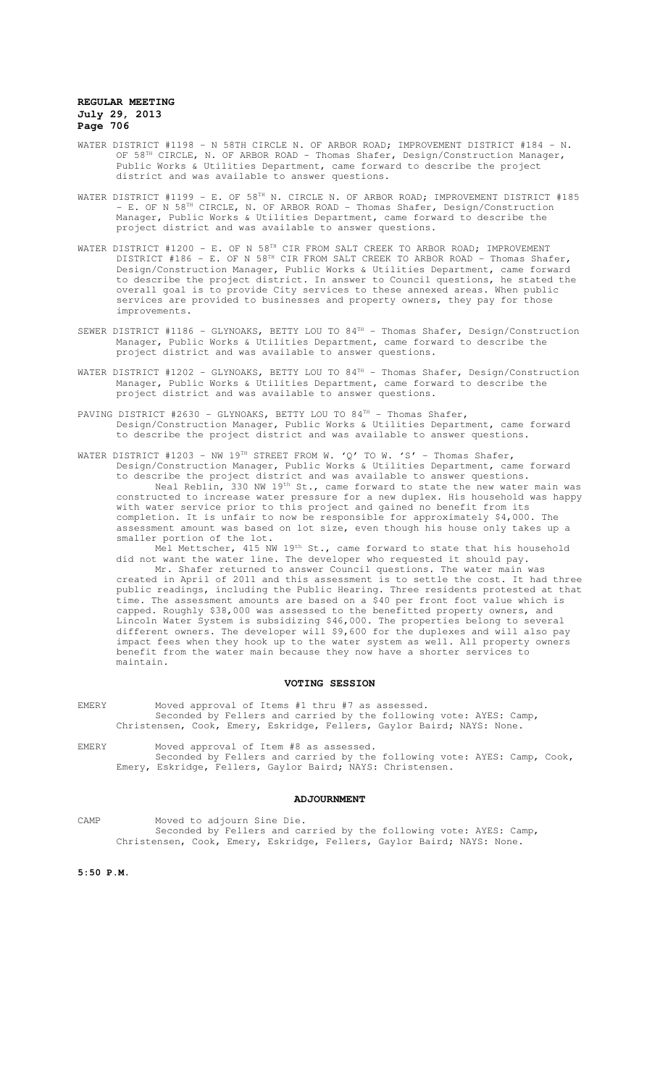- WATER DISTRICT #1198 N 58TH CIRCLE N. OF ARBOR ROAD; IMPROVEMENT DISTRICT #184 N. OF 58<sup>TH</sup> CIRCLE, N. OF ARBOR ROAD - Thomas Shafer, Design/Construction Manager, Public Works & Utilities Department, came forward to describe the project district and was available to answer questions.
- WATER DISTRICT #1199 E. OF 58TH N. CIRCLE N. OF ARBOR ROAD; IMPROVEMENT DISTRICT #185 - E. OF N 58TH CIRCLE, N. OF ARBOR ROAD - Thomas Shafer, Design/Construction Manager, Public Works & Utilities Department, came forward to describe the project district and was available to answer questions.
- WATER DISTRICT #1200 E. OF N 58TH CIR FROM SALT CREEK TO ARBOR ROAD; IMPROVEMENT DISTRICT #186 - E. OF N 58<sup>TH</sup> CIR FROM SALT CREEK TO ARBOR ROAD - Thomas Shafer, Design/Construction Manager, Public Works & Utilities Department, came forward to describe the project district. In answer to Council questions, he stated the overall goal is to provide City services to these annexed areas. When public services are provided to businesses and property owners, they pay for those improvements.
- SEWER DISTRICT #1186 GLYNOAKS, BETTY LOU TO 84<sup>TH</sup> Thomas Shafer, Design/Construction Manager, Public Works & Utilities Department, came forward to describe the project district and was available to answer questions.
- WATER DISTRICT #1202 GLYNOAKS, BETTY LOU TO 84TH Thomas Shafer, Design/Construction Manager, Public Works & Utilities Department, came forward to describe the project district and was available to answer questions.
- PAVING DISTRICT #2630 GLYNOAKS, BETTY LOU TO 84TH Thomas Shafer, Design/Construction Manager, Public Works & Utilities Department, came forward to describe the project district and was available to answer questions.
- WATER DISTRICT #1203 NW 19<sup>TH</sup> STREET FROM W. 'Q' TO W. 'S' Thomas Shafer, Design/Construction Manager, Public Works & Utilities Department, came forward to describe the project district and was available to answer questions. Neal Reblin, 330 NW 19<sup>th</sup> St., came forward to state the new water main was constructed to increase water pressure for a new duplex. His household was happy with water service prior to this project and gained no benefit from its completion. It is unfair to now be responsible for approximately \$4,000. The assessment amount was based on lot size, even though his house only takes up a smaller portion of the lot.

Mel Mettscher, 415 NW 19<sup>th</sup> St., came forward to state that his household did not want the water line. The developer who requested it should pay. Mr. Shafer returned to answer Council questions. The water main was created in April of 2011 and this assessment is to settle the cost. It had three public readings, including the Public Hearing. Three residents protested at that time. The assessment amounts are based on a \$40 per front foot value which is capped. Roughly \$38,000 was assessed to the benefitted property owners, and Lincoln Water System is subsidizing \$46,000. The properties belong to several different owners. The developer will \$9,600 for the duplexes and will also pay impact fees when they hook up to the water system as well. All property owners benefit from the water main because they now have a shorter services to maintain.

#### **VOTING SESSION**

- EMERY Moved approval of Items #1 thru #7 as assessed. Seconded by Fellers and carried by the following vote: AYES: Camp, Christensen, Cook, Emery, Eskridge, Fellers, Gaylor Baird; NAYS: None.
- EMERY Moved approval of Item #8 as assessed. Seconded by Fellers and carried by the following vote: AYES: Camp, Cook, Emery, Eskridge, Fellers, Gaylor Baird; NAYS: Christensen.

#### **ADJOURNMENT**

CAMP Moved to adjourn Sine Die. Seconded by Fellers and carried by the following vote: AYES: Camp, Christensen, Cook, Emery, Eskridge, Fellers, Gaylor Baird; NAYS: None.

**5:50 P.M.**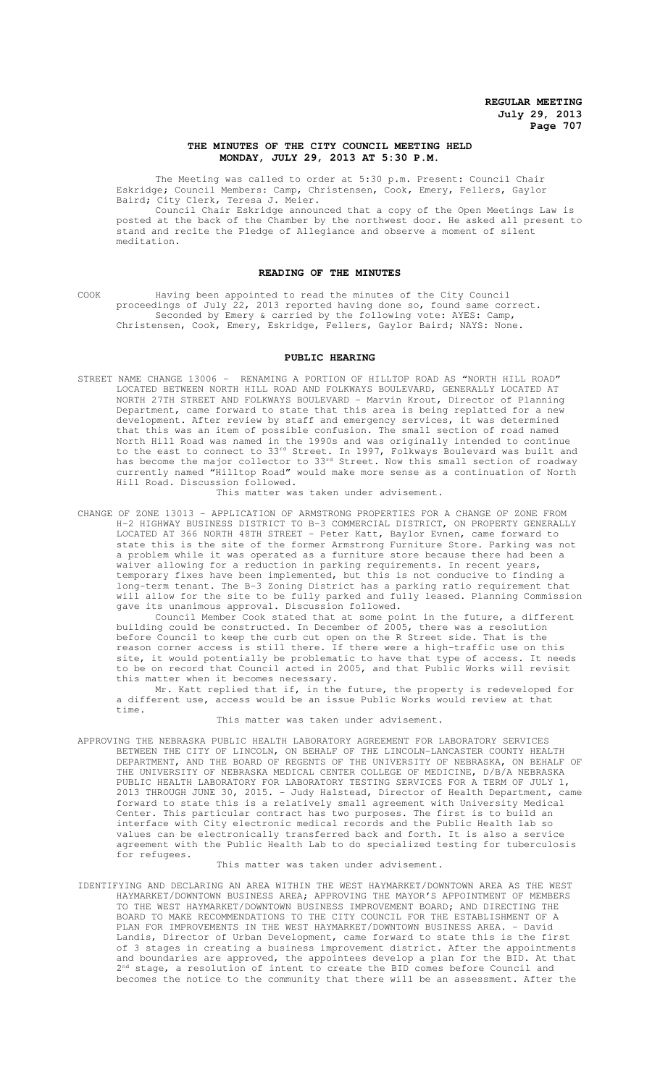## **THE MINUTES OF THE CITY COUNCIL MEETING HELD MONDAY, JULY 29, 2013 AT 5:30 P.M.**

The Meeting was called to order at 5:30 p.m. Present: Council Chair Eskridge; Council Members: Camp, Christensen, Cook, Emery, Fellers, Gaylor Baird; City Clerk, Teresa J. Meier.

Council Chair Eskridge announced that a copy of the Open Meetings Law is posted at the back of the Chamber by the northwest door. He asked all present to stand and recite the Pledge of Allegiance and observe a moment of silent meditation.

## **READING OF THE MINUTES**

COOK Having been appointed to read the minutes of the City Council proceedings of July 22, 2013 reported having done so, found same correct. Seconded by Emery & carried by the following vote: AYES: Camp, Christensen, Cook, Emery, Eskridge, Fellers, Gaylor Baird; NAYS: None.

#### **PUBLIC HEARING**

STREET NAME CHANGE 13006 – RENAMING A PORTION OF HILLTOP ROAD AS "NORTH HILL ROAD" LOCATED BETWEEN NORTH HILL ROAD AND FOLKWAYS BOULEVARD, GENERALLY LOCATED AT NORTH 27TH STREET AND FOLKWAYS BOULEVARD - Marvin Krout, Director of Planning Department, came forward to state that this area is being replatted for a new development. After review by staff and emergency services, it was determined that this was an item of possible confusion. The small section of road named North Hill Road was named in the 1990s and was originally intended to continue to the east to connect to 33<sup>rd</sup> Street. In 1997, Folkways Boulevard was built and has become the major collector to 33<sup>rd</sup> Street. Now this small section of roadway currently named "Hilltop Road" would make more sense as a continuation of North Hill Road. Discussion followed.

This matter was taken under advisement.

CHANGE OF ZONE 13013 – APPLICATION OF ARMSTRONG PROPERTIES FOR A CHANGE OF ZONE FROM H-2 HIGHWAY BUSINESS DISTRICT TO B-3 COMMERCIAL DISTRICT, ON PROPERTY GENERALLY LOCATED AT 366 NORTH 48TH STREET - Peter Katt, Baylor Evnen, came forward to state this is the site of the former Armstrong Furniture Store. Parking was not a problem while it was operated as a furniture store because there had been a waiver allowing for a reduction in parking requirements. In recent years, temporary fixes have been implemented, but this is not conducive to finding a long-term tenant. The B-3 Zoning District has a parking ratio requirement that will allow for the site to be fully parked and fully leased. Planning Commission gave its unanimous approval. Discussion followed.

Council Member Cook stated that at some point in the future, a different building could be constructed. In December of 2005, there was a resolution before Council to keep the curb cut open on the R Street side. That is the reason corner access is still there. If there were a high-traffic use on this site, it would potentially be problematic to have that type of access. It needs to be on record that Council acted in 2005, and that Public Works will revisit this matter when it becomes necessary.

Mr. Katt replied that if, in the future, the property is redeveloped for a different use, access would be an issue Public Works would review at that time.

This matter was taken under advisement.

APPROVING THE NEBRASKA PUBLIC HEALTH LABORATORY AGREEMENT FOR LABORATORY SERVICES BETWEEN THE CITY OF LINCOLN, ON BEHALF OF THE LINCOLN-LANCASTER COUNTY HEALTH DEPARTMENT, AND THE BOARD OF REGENTS OF THE UNIVERSITY OF NEBRASKA, ON BEHALF OF THE UNIVERSITY OF NEBRASKA MEDICAL CENTER COLLEGE OF MEDICINE, D/B/A NEBRASKA PUBLIC HEALTH LABORATORY FOR LABORATORY TESTING SERVICES FOR A TERM OF JULY 1, 2013 THROUGH JUNE 30, 2015. - Judy Halstead, Director of Health Department, came forward to state this is a relatively small agreement with University Medical Center. This particular contract has two purposes. The first is to build an interface with City electronic medical records and the Public Health lab so values can be electronically transferred back and forth. It is also a service agreement with the Public Health Lab to do specialized testing for tuberculosis for refugees.

This matter was taken under advisement.

IDENTIFYING AND DECLARING AN AREA WITHIN THE WEST HAYMARKET/DOWNTOWN AREA AS THE WEST HAYMARKET/DOWNTOWN BUSINESS AREA; APPROVING THE MAYOR'S APPOINTMENT OF MEMBERS TO THE WEST HAYMARKET/DOWNTOWN BUSINESS IMPROVEMENT BOARD; AND DIRECTING THE BOARD TO MAKE RECOMMENDATIONS TO THE CITY COUNCIL FOR THE ESTABLISHMENT OF A PLAN FOR IMPROVEMENTS IN THE WEST HAYMARKET/DOWNTOWN BUSINESS AREA. - David Landis, Director of Urban Development, came forward to state this is the first of 3 stages in creating a business improvement district. After the appointments and boundaries are approved, the appointees develop a plan for the BID. At that 2<sup>nd</sup> stage, a resolution of intent to create the BID comes before Council and becomes the notice to the community that there will be an assessment. After the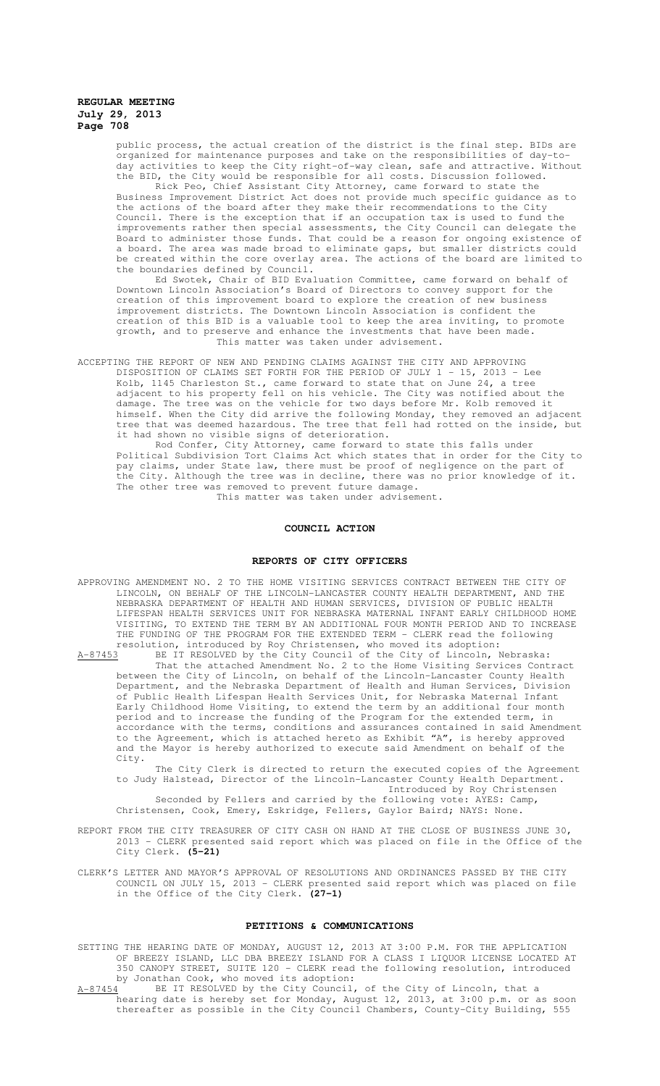public process, the actual creation of the district is the final step. BIDs are organized for maintenance purposes and take on the responsibilities of day-today activities to keep the City right-of-way clean, safe and attractive. Without the BID, the City would be responsible for all costs. Discussion followed.

Rick Peo, Chief Assistant City Attorney, came forward to state the Business Improvement District Act does not provide much specific guidance as to the actions of the board after they make their recommendations to the City Council. There is the exception that if an occupation tax is used to fund the improvements rather then special assessments, the City Council can delegate the Board to administer those funds. That could be a reason for ongoing existence of a board. The area was made broad to eliminate gaps, but smaller districts could be created within the core overlay area. The actions of the board are limited to the boundaries defined by Council.

Ed Swotek, Chair of BID Evaluation Committee, came forward on behalf of Downtown Lincoln Association's Board of Directors to convey support for the creation of this improvement board to explore the creation of new business improvement districts. The Downtown Lincoln Association is confident the creation of this BID is a valuable tool to keep the area inviting, to promote growth, and to preserve and enhance the investments that have been made. This matter was taken under advisement.

ACCEPTING THE REPORT OF NEW AND PENDING CLAIMS AGAINST THE CITY AND APPROVING

DISPOSITION OF CLAIMS SET FORTH FOR THE PERIOD OF JULY 1 - 15, 2013 - Lee Kolb, 1145 Charleston St., came forward to state that on June 24, a tree adjacent to his property fell on his vehicle. The City was notified about the damage. The tree was on the vehicle for two days before Mr. Kolb removed it himself. When the City did arrive the following Monday, they removed an adjacent tree that was deemed hazardous. The tree that fell had rotted on the inside, but it had shown no visible signs of deterioration.

Rod Confer, City Attorney, came forward to state this falls under Political Subdivision Tort Claims Act which states that in order for the City to pay claims, under State law, there must be proof of negligence on the part of the City. Although the tree was in decline, there was no prior knowledge of it. The other tree was removed to prevent future damage. This matter was taken under advisement.

# **COUNCIL ACTION**

#### **REPORTS OF CITY OFFICERS**

APPROVING AMENDMENT NO. 2 TO THE HOME VISITING SERVICES CONTRACT BETWEEN THE CITY OF LINCOLN, ON BEHALF OF THE LINCOLN-LANCASTER COUNTY HEALTH DEPARTMENT, AND THE NEBRASKA DEPARTMENT OF HEALTH AND HUMAN SERVICES, DIVISION OF PUBLIC HEALTH LIFESPAN HEALTH SERVICES UNIT FOR NEBRASKA MATERNAL INFANT EARLY CHILDHOOD HOME VISITING, TO EXTEND THE TERM BY AN ADDITIONAL FOUR MONTH PERIOD AND TO INCREASE THE FUNDING OF THE PROGRAM FOR THE EXTENDED TERM - CLERK read the following resolution, introduced by Roy Christensen, who moved its adoption:

A-87453 BE IT RESOLVED by the City Council of the City of Lincoln, Nebraska: That the attached Amendment No. 2 to the Home Visiting Services Contract between the City of Lincoln, on behalf of the Lincoln-Lancaster County Health Department, and the Nebraska Department of Health and Human Services, Division of Public Health Lifespan Health Services Unit, for Nebraska Maternal Infant Early Childhood Home Visiting, to extend the term by an additional four month period and to increase the funding of the Program for the extended term, in accordance with the terms, conditions and assurances contained in said Amendment to the Agreement, which is attached hereto as Exhibit "A", is hereby approved and the Mayor is hereby authorized to execute said Amendment on behalf of the City.

The City Clerk is directed to return the executed copies of the Agreement to Judy Halstead, Director of the Lincoln-Lancaster County Health Department. Introduced by Roy Christensen

Seconded by Fellers and carried by the following vote: AYES: Camp, Christensen, Cook, Emery, Eskridge, Fellers, Gaylor Baird; NAYS: None.

REPORT FROM THE CITY TREASURER OF CITY CASH ON HAND AT THE CLOSE OF BUSINESS JUNE 30, 2013 - CLERK presented said report which was placed on file in the Office of the City Clerk. **(5-21)**

CLERK'S LETTER AND MAYOR'S APPROVAL OF RESOLUTIONS AND ORDINANCES PASSED BY THE CITY COUNCIL ON JULY 15, 2013 - CLERK presented said report which was placed on file in the Office of the City Clerk. **(27-1)**

#### **PETITIONS & COMMUNICATIONS**

SETTING THE HEARING DATE OF MONDAY, AUGUST 12, 2013 AT 3:00 P.M. FOR THE APPLICATION OF BREEZY ISLAND, LLC DBA BREEZY ISLAND FOR A CLASS I LIQUOR LICENSE LOCATED AT 350 CANOPY STREET, SUITE 120 - CLERK read the following resolution, introduced by Jonathan Cook, who moved its adoption:

A-87454 BE IT RESOLVED by the City Council, of the City of Lincoln, that a hearing date is hereby set for Monday, August 12, 2013, at 3:00 p.m. or as soon thereafter as possible in the City Council Chambers, County-City Building, 555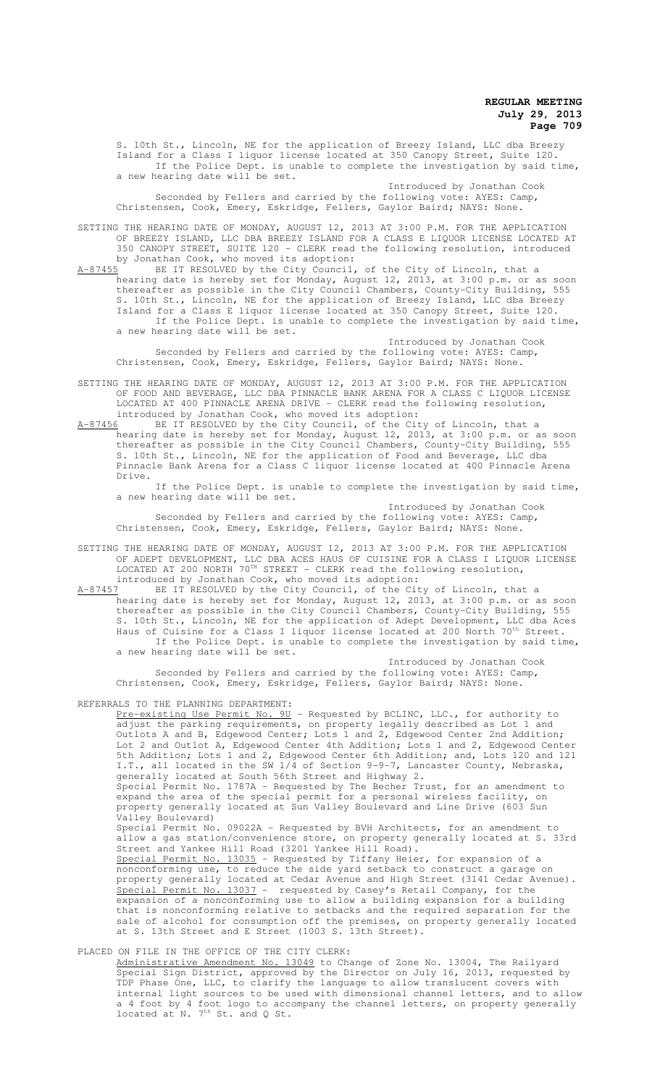S. 10th St., Lincoln, NE for the application of Breezy Island, LLC dba Breezy Island for a Class I liquor license located at 350 Canopy Street, Suite 120. If the Police Dept. is unable to complete the investigation by said time, a new hearing date will be set.

Introduced by Jonathan Cook Seconded by Fellers and carried by the following vote: AYES: Camp, Christensen, Cook, Emery, Eskridge, Fellers, Gaylor Baird; NAYS: None.

SETTING THE HEARING DATE OF MONDAY, AUGUST 12, 2013 AT 3:00 P.M. FOR THE APPLICATION OF BREEZY ISLAND, LLC DBA BREEZY ISLAND FOR A CLASS E LIQUOR LICENSE LOCATED AT 350 CANOPY STREET, SUITE 120 - CLERK read the following resolution, introduced by Jonathan Cook, who moved its adoption:<br>A-87455 BE IT RESOLVED by the City Council.

A-87455 BE IT RESOLVED by the City Council, of the City of Lincoln, that a hearing date is hereby set for Monday, August 12, 2013, at 3:00 p.m. or as soon thereafter as possible in the City Council Chambers, County-City Building, 555 S. 10th St., Lincoln, NE for the application of Breezy Island, LLC dba Breezy Island for a Class E liquor license located at 350 Canopy Street, Suite 120. If the Police Dept. is unable to complete the investigation by said time, a new hearing date will be set.

Introduced by Jonathan Cook Seconded by Fellers and carried by the following vote: AYES: Camp, Christensen, Cook, Emery, Eskridge, Fellers, Gaylor Baird; NAYS: None.

SETTING THE HEARING DATE OF MONDAY, AUGUST 12, 2013 AT 3:00 P.M. FOR THE APPLICATION OF FOOD AND BEVERAGE, LLC DBA PINNACLE BANK ARENA FOR A CLASS C LIQUOR LICENSE LOCATED AT 400 PINNACLE ARENA DRIVE - CLERK read the following resolution, introduced by Jonathan Cook, who moved its adoption:

A-87456 BE IT RESOLVED by the City Council, of the City of Lincoln, that a hearing date is hereby set for Monday, August 12, 2013, at 3:00 p.m. or as soon thereafter as possible in the City Council Chambers, County-City Building, 555 S. 10th St., Lincoln, NE for the application of Food and Beverage, LLC dba Pinnacle Bank Arena for a Class C liquor license located at 400 Pinnacle Arena Drive.

If the Police Dept. is unable to complete the investigation by said time, a new hearing date will be set.

Introduced by Jonathan Cook Seconded by Fellers and carried by the following vote: AYES: Camp, Christensen, Cook, Emery, Eskridge, Fellers, Gaylor Baird; NAYS: None.

SETTING THE HEARING DATE OF MONDAY, AUGUST 12, 2013 AT 3:00 P.M. FOR THE APPLICATION OF ADEPT DEVELOPMENT, LLC DBA ACES HAUS OF CUISINE FOR A CLASS I LIQUOR LICENSE LOCATED AT 200 NORTH  $70^{TH}$  STREET - CLERK read the following resolution, introduced by Jonathan Cook, who moved its adoption:<br>A-87457 BE IT RESOLVED by the City Council, of the Cit

BE IT RESOLVED by the City Council, of the City of Lincoln, that a hearing date is hereby set for Monday, August 12, 2013, at 3:00 p.m. or as soon thereafter as possible in the City Council Chambers, County-City Building, 555 S. 10th St., Lincoln, NE for the application of Adept Development, LLC dba Aces Haus of Cuisine for a Class I liquor license located at 200 North 70th Street. If the Police Dept. is unable to complete the investigation by said time, a new hearing date will be set.

Introduced by Jonathan Cook Seconded by Fellers and carried by the following vote: AYES: Camp, Christensen, Cook, Emery, Eskridge, Fellers, Gaylor Baird; NAYS: None.

REFERRALS TO THE PLANNING DEPARTMENT:

Pre-existing Use Permit No. 9U - Requested by BCLINC, LLC., for authority to adjust the parking requirements, on property legally described as Lot 1 and Outlots A and B, Edgewood Center; Lots 1 and 2, Edgewood Center 2nd Addition; Lot 2 and Outlot A, Edgewood Center 4th Addition; Lots 1 and 2, Edgewood Center 5th Addition; Lots 1 and 2, Edgewood Center 6th Addition; and, Lots 120 and 121 I.T., all located in the SW 1/4 of Section 9-9-7, Lancaster County, Nebraska, generally located at South 56th Street and Highway 2.

Special Permit No. 1787A - Requested by The Becher Trust, for an amendment to expand the area of the special permit for a personal wireless facility, on property generally located at Sun Valley Boulevard and Line Drive (603 Sun Valley Boulevard)

Special Permit No. 09022A - Requested by BVH Architects, for an amendment to allow a gas station/convenience store, on property generally located at S. 33rd Street and Yankee Hill Road (3201 Yankee Hill Road).

Special Permit No. 13035 - Requested by Tiffany Heier, for expansion of a nonconforming use, to reduce the side yard setback to construct a garage on property generally located at Cedar Avenue and High Street (3141 Cedar Avenue). Special Permit No. 13037 - requested by Casey's Retail Company, for the expansion of a nonconforming use to allow a building expansion for a building that is nonconforming relative to setbacks and the required separation for the sale of alcohol for consumption off the premises, on property generally located at S. 13th Street and E Street (1003 S. 13th Street).

### PLACED ON FILE IN THE OFFICE OF THE CITY CLERK:

Administrative Amendment No. 13049 to Change of Zone No. 13004, The Railyard Special Sign District, approved by the Director on July 16, 2013, requested by TDP Phase One, LLC, to clarify the language to allow translucent covers with internal light sources to be used with dimensional channel letters, and to allow a 4 foot by 4 foot logo to accompany the channel letters, on property generally located at N. 7<sup>th</sup> St. and Q St.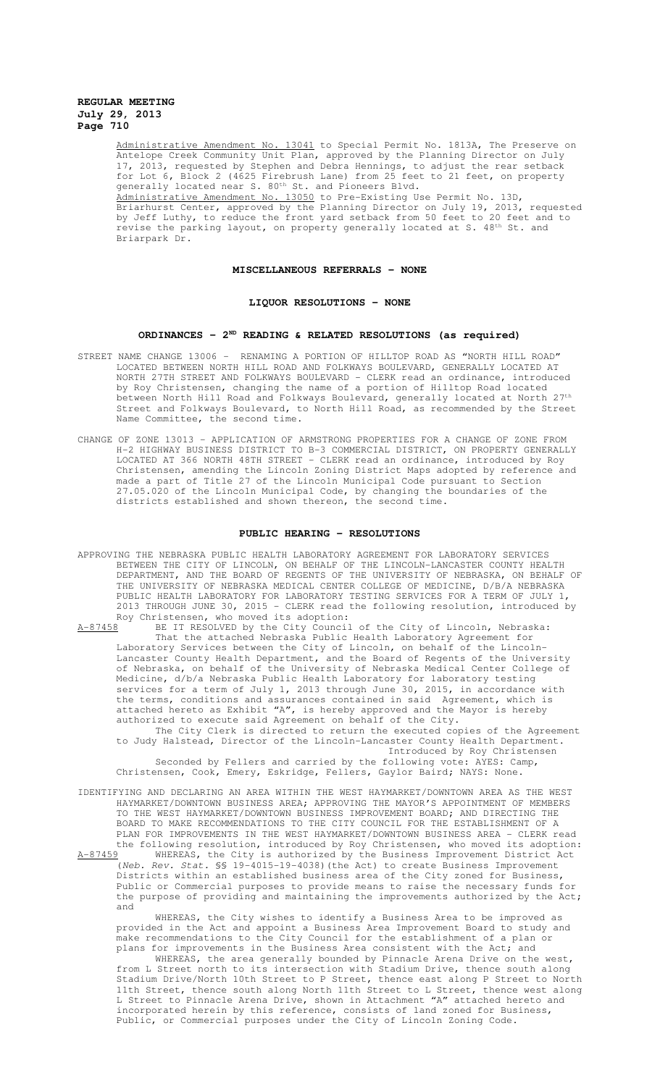Administrative Amendment No. 13041 to Special Permit No. 1813A, The Preserve on Antelope Creek Community Unit Plan, approved by the Planning Director on July 17, 2013, requested by Stephen and Debra Hennings, to adjust the rear setback for Lot 6, Block 2 (4625 Firebrush Lane) from 25 feet to 21 feet, on property generally located near S. 80<sup>th</sup> St. and Pioneers Blvd. Administrative Amendment No. 13050 to Pre-Existing Use Permit No. 13D, Briarhurst Center, approved by the Planning Director on July 19, 2013, requested by Jeff Luthy, to reduce the front yard setback from 50 feet to 20 feet and to revise the parking layout, on property generally located at S. 48th St. and Briarpark Dr.

## **MISCELLANEOUS REFERRALS - NONE**

#### **LIQUOR RESOLUTIONS - NONE**

## **ORDINANCES - 2ND READING & RELATED RESOLUTIONS (as required)**

- STREET NAME CHANGE 13006 RENAMING A PORTION OF HILLTOP ROAD AS "NORTH HILL ROAD" LOCATED BETWEEN NORTH HILL ROAD AND FOLKWAYS BOULEVARD, GENERALLY LOCATED AT NORTH 27TH STREET AND FOLKWAYS BOULEVARD - CLERK read an ordinance, introduced by Roy Christensen, changing the name of a portion of Hilltop Road located between North Hill Road and Folkways Boulevard, generally located at North  $27^{\rm th}$ Street and Folkways Boulevard, to North Hill Road, as recommended by the Street Name Committee, the second time.
- CHANGE OF ZONE 13013 APPLICATION OF ARMSTRONG PROPERTIES FOR A CHANGE OF ZONE FROM H-2 HIGHWAY BUSINESS DISTRICT TO B-3 COMMERCIAL DISTRICT, ON PROPERTY GENERALLY LOCATED AT 366 NORTH 48TH STREET - CLERK read an ordinance, introduced by Roy Christensen, amending the Lincoln Zoning District Maps adopted by reference and made a part of Title 27 of the Lincoln Municipal Code pursuant to Section 27.05.020 of the Lincoln Municipal Code, by changing the boundaries of the districts established and shown thereon, the second time.

## **PUBLIC HEARING - RESOLUTIONS**

- APPROVING THE NEBRASKA PUBLIC HEALTH LABORATORY AGREEMENT FOR LABORATORY SERVICES BETWEEN THE CITY OF LINCOLN, ON BEHALF OF THE LINCOLN-LANCASTER COUNTY HEALTH DEPARTMENT, AND THE BOARD OF REGENTS OF THE UNIVERSITY OF NEBRASKA, ON BEHALF OF THE UNIVERSITY OF NEBRASKA MEDICAL CENTER COLLEGE OF MEDICINE, D/B/A NEBRASKA PUBLIC HEALTH LABORATORY FOR LABORATORY TESTING SERVICES FOR A TERM OF JULY 1, 2013 THROUGH JUNE 30, 2015 - CLERK read the following resolution, introduced by Roy Christensen, who moved its adoption:
- A-87458 BE IT RESOLVED by the City Council of the City of Lincoln, Nebraska: That the attached Nebraska Public Health Laboratory Agreement for Laboratory Services between the City of Lincoln, on behalf of the Lincoln-Lancaster County Health Department, and the Board of Regents of the University of Nebraska, on behalf of the University of Nebraska Medical Center College of Medicine, d/b/a Nebraska Public Health Laboratory for laboratory testing services for a term of July 1, 2013 through June 30, 2015, in accordance with the terms, conditions and assurances contained in said Agreement, which is attached hereto as Exhibit "A", is hereby approved and the Mayor is hereby authorized to execute said Agreement on behalf of the City.
	- The City Clerk is directed to return the executed copies of the Agreement to Judy Halstead, Director of the Lincoln-Lancaster County Health Department. Introduced by Roy Christensen

Seconded by Fellers and carried by the following vote: AYES: Camp, Christensen, Cook, Emery, Eskridge, Fellers, Gaylor Baird; NAYS: None.

IDENTIFYING AND DECLARING AN AREA WITHIN THE WEST HAYMARKET/DOWNTOWN AREA AS THE WEST HAYMARKET/DOWNTOWN BUSINESS AREA; APPROVING THE MAYOR'S APPOINTMENT OF MEMBERS TO THE WEST HAYMARKET/DOWNTOWN BUSINESS IMPROVEMENT BOARD; AND DIRECTING THE BOARD TO MAKE RECOMMENDATIONS TO THE CITY COUNCIL FOR THE ESTABLISHMENT OF A PLAN FOR IMPROVEMENTS IN THE WEST HAYMARKET/DOWNTOWN BUSINESS AREA - CLERK read the following resolution, introduced by Roy Christensen, who moved its adoption: A-87459 WHEREAS, the City is authorized by the Business Improvement District Act

(Neb. Rev. Stat. §§ 19-4015-19-4038)(the Act) to create Business Improvement Districts within an established business area of the City zoned for Business, Public or Commercial purposes to provide means to raise the necessary funds for the purpose of providing and maintaining the improvements authorized by the Act; and

WHEREAS, the City wishes to identify a Business Area to be improved as provided in the Act and appoint a Business Area Improvement Board to study and make recommendations to the City Council for the establishment of a plan or plans for improvements in the Business Area consistent with the Act; and

WHEREAS, the area generally bounded by Pinnacle Arena Drive on the west, from L Street north to its intersection with Stadium Drive, thence south along Stadium Drive/North 10th Street to P Street, thence east along P Street to North 11th Street, thence south along North 11th Street to L Street, thence west along L Street to Pinnacle Arena Drive, shown in Attachment "A" attached hereto and incorporated herein by this reference, consists of land zoned for Business, Public, or Commercial purposes under the City of Lincoln Zoning Code.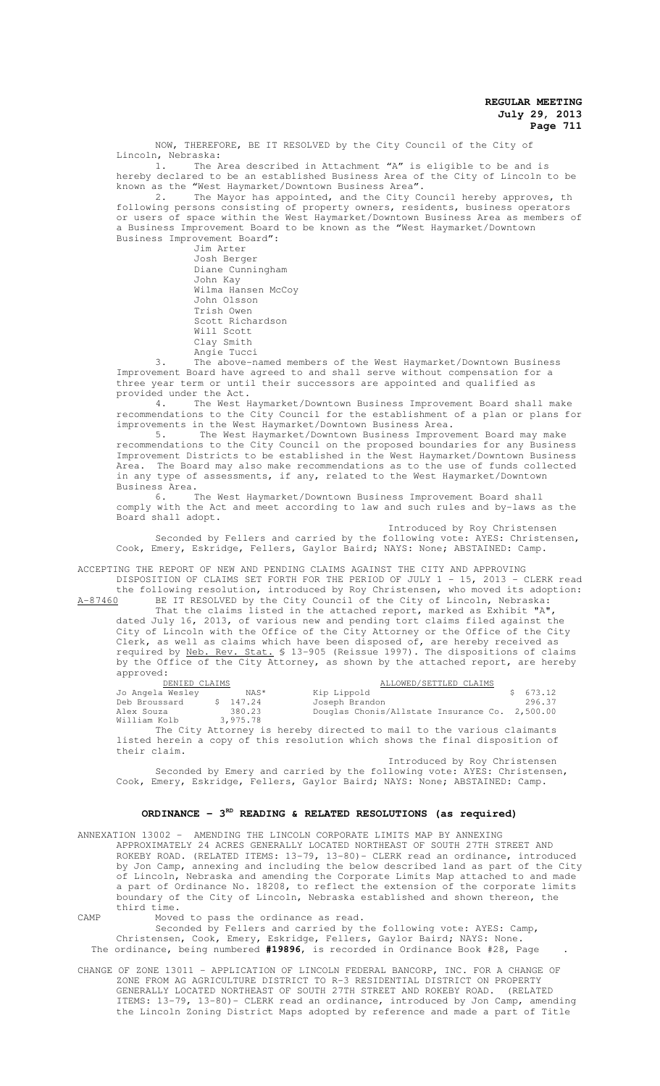NOW, THEREFORE, BE IT RESOLVED by the City Council of the City of Lincoln, Nebraska:

The Area described in Attachment "A" is eligible to be and is hereby declared to be an established Business Area of the City of Lincoln to be known as the "West Haymarket/Downtown Business Area".

2. The Mayor has appointed, and the City Council hereby approves, the following persons consisting of property owners, residents, business operators or users of space within the West Haymarket/Downtown Business Area as members of a Business Improvement Board to be known as the "West Haymarket/Downtown Business Improvement Board":

Jim Arter Josh Berger Diane Cunningham John Kay Wilma Hansen McCoy John Olsson Trish Owen Scott Richardson Will Scott Clay Smith Angie Tucci

3. The above-named members of the West Haymarket/Downtown Business Improvement Board have agreed to and shall serve without compensation for a three year term or until their successors are appointed and qualified as provided under the Act.

4. The West Haymarket/Downtown Business Improvement Board shall make recommendations to the City Council for the establishment of a plan or plans for improvements in the West Haymarket/Downtown Business Area.

5. The West Haymarket/Downtown Business Improvement Board may make recommendations to the City Council on the proposed boundaries for any Business Improvement Districts to be established in the West Haymarket/Downtown Business Area. The Board may also make recommendations as to the use of funds collected in any type of assessments, if any, related to the West Haymarket/Downtown Business Area.

6. The West Haymarket/Downtown Business Improvement Board shall comply with the Act and meet according to law and such rules and by-laws as the Board shall adopt.

Introduced by Roy Christensen

Seconded by Fellers and carried by the following vote: AYES: Christensen, Cook, Emery, Eskridge, Fellers, Gaylor Baird; NAYS: None; ABSTAINED: Camp.

ACCEPTING THE REPORT OF NEW AND PENDING CLAIMS AGAINST THE CITY AND APPROVING DISPOSITION OF CLAIMS SET FORTH FOR THE PERIOD OF JULY 1 - 15, 2013 - CLERK read

the following resolution, introduced by Roy Christensen, who moved its adoption: A-87460 BE IT RESOLVED by the City Council of the City of Lincoln, Nebraska: That the claims listed in the attached report, marked as Exhibit "A",

dated July 16, 2013, of various new and pending tort claims filed against the City of Lincoln with the Office of the City Attorney or the Office of the City Clerk, as well as claims which have been disposed of, are hereby received as required by <u>Neb. Rev. Stat.</u> § 13-905 (Reissue 1997). The dispositions of claims by the Office of the City Attorney, as shown by the attached report, are hereby approved:

| DENIED CLAIMS    |          | ALLOWED/SETTLED CLAIMS                                                       |          |  |
|------------------|----------|------------------------------------------------------------------------------|----------|--|
| Jo Angela Wesley | NAS*     | Kip Lippold                                                                  | \$673.12 |  |
| Deb Broussard    | \$147.24 | Joseph Brandon                                                               | 296.37   |  |
| Alex Souza       | 380.23   | Douglas Chonis/Allstate Insurance Co. 2,500.00                               |          |  |
| William Kolb     | 3,975.78 |                                                                              |          |  |
|                  |          | The City Attorney is hereby directed to mail to the various claimants        |          |  |
|                  |          | listed herein a copy of this resolution which shows the final disposition of |          |  |

Introduced by Roy Christensen Seconded by Emery and carried by the following vote: AYES: Christensen, Cook, Emery, Eskridge, Fellers, Gaylor Baird; NAYS: None; ABSTAINED: Camp.

## ORDINANCE - 3<sup>RD</sup> READING & RELATED RESOLUTIONS (as required)

ANNEXATION 13002 – AMENDING THE LINCOLN CORPORATE LIMITS MAP BY ANNEXING APPROXIMATELY 24 ACRES GENERALLY LOCATED NORTHEAST OF SOUTH 27TH STREET AND APPROAIMAIEDI 24 ACRES GENERATED ISOCHTER NORTHEAST OF SOOTH FIRE STATED INTO ROKEBY ROAD. (RELATED ITEMS: 13-79, 13-80) - CLERK read an ordinance, introduced<br>by Jon Camp, annexing and including the below described land as by Jon Camp, annexing and including the below described land as part of the City of Lincoln, Nebraska and amending the Corporate Limits Map attached to and made a part of Ordinance No. 18208, to reflect the extension of the corporate limits boundary of the City of Lincoln, Nebraska established and shown thereon, the third time.

CAMP Moved to pass the ordinance as read.

their claim.

Seconded by Fellers and carried by the following vote: AYES: Camp, Christensen, Cook, Emery, Eskridge, Fellers, Gaylor Baird; NAYS: None. The ordinance, being numbered **#19896**, is recorded in Ordinance Book #28, Page .

CHANGE OF ZONE 13011 – APPLICATION OF LINCOLN FEDERAL BANCORP, INC. FOR A CHANGE OF ZONE FROM AG AGRICULTURE DISTRICT TO R-3 RESIDENTIAL DISTRICT ON PROPERTY GENERALLY LOCATED NORTHEAST OF SOUTH 27TH STREET AND ROKEBY ROAD. (RELATED ITEMS: 13-79, 13-80)- CLERK read an ordinance, introduced by Jon Camp, amending the Lincoln Zoning District Maps adopted by reference and made a part of Title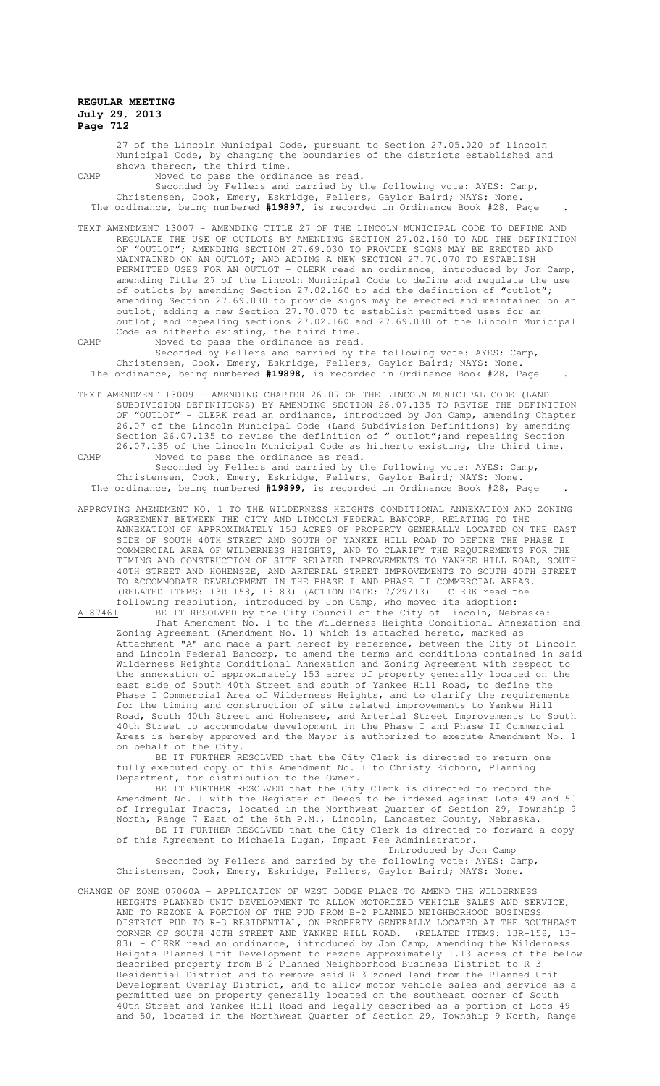27 of the Lincoln Municipal Code, pursuant to Section 27.05.020 of Lincoln Municipal Code, by changing the boundaries of the districts established and shown thereon, the third time.

CAMP Moved to pass the ordinance as read.

Seconded by Fellers and carried by the following vote: AYES: Camp, Christensen, Cook, Emery, Eskridge, Fellers, Gaylor Baird; NAYS: None. The ordinance, being numbered **#19897**, is recorded in Ordinance Book #28, Page .

TEXT AMENDMENT 13007 – AMENDING TITLE 27 OF THE LINCOLN MUNICIPAL CODE TO DEFINE AND REGULATE THE USE OF OUTLOTS BY AMENDING SECTION 27.02.160 TO ADD THE DEFINITION OF "OUTLOT"; AMENDING SECTION 27.69.030 TO PROVIDE SIGNS MAY BE ERECTED AND MAINTAINED ON AN OUTLOT; AND ADDING A NEW SECTION 27.70.070 TO ESTABLISH PERMITTED USES FOR AN OUTLOT - CLERK read an ordinance, introduced by Jon Camp, amending Title 27 of the Lincoln Municipal Code to define and regulate the use of outlots by amending Section 27.02.160 to add the definition of "outlot"; of outlots by amending Section  $27.02.160$  to add the definition of "outlot";<br>amending Section 27.69.030 to provide signs may be erected and maintained on an outlot; adding a new Section 27.70.070 to establish permitted uses for an outlot; and repealing sections 27.02.160 and 27.69.030 of the Lincoln Municipal Code as hitherto existing, the third time.

- CAMP Moved to pass the ordinance as read. Seconded by Fellers and carried by the following vote: AYES: Camp, Christensen, Cook, Emery, Eskridge, Fellers, Gaylor Baird; NAYS: None. The ordinance, being numbered **#19898**, is recorded in Ordinance Book #28, Page .
- TEXT AMENDMENT 13009 AMENDING CHAPTER 26.07 OF THE LINCOLN MUNICIPAL CODE (LAND SUBDIVISION DEFINITIONS) BY AMENDING SECTION 26.07.135 TO REVISE THE DEFINITION OF "OUTLOT" - CLERK read an ordinance, introduced by Jon Camp, amending Chapter 26.07 of the Lincoln Municipal Code (Land Subdivision Definitions) by amending Section 26.07.135 to revise the definition of " outlot"; and repealing Section 26.07.135 of the Lincoln Municipal Code as hitherto existing, the third time. CAMP Moved to pass the ordinance as read.

Seconded by Fellers and carried by the following vote: AYES: Camp, Christensen, Cook, Emery, Eskridge, Fellers, Gaylor Baird; NAYS: None. The ordinance, being numbered **#19899**, is recorded in Ordinance Book #28, Page .

APPROVING AMENDMENT NO. 1 TO THE WILDERNESS HEIGHTS CONDITIONAL ANNEXATION AND ZONING AGREEMENT BETWEEN THE CITY AND LINCOLN FEDERAL BANCORP, RELATING TO THE ANNEXATION OF APPROXIMATELY 153 ACRES OF PROPERTY GENERALLY LOCATED ON THE EAST SIDE OF SOUTH 40TH STREET AND SOUTH OF YANKEE HILL ROAD TO DEFINE THE PHASE I COMMERCIAL AREA OF WILDERNESS HEIGHTS, AND TO CLARIFY THE REQUIREMENTS FOR THE TIMING AND CONSTRUCTION OF SITE RELATED IMPROVEMENTS TO YANKEE HILL ROAD, SOUTH 40TH STREET AND HOHENSEE, AND ARTERIAL STREET IMPROVEMENTS TO SOUTH 40TH STREET TO ACCOMMODATE DEVELOPMENT IN THE PHASE I AND PHASE II COMMERCIAL AREAS. (RELATED ITEMS: 13R-158, 13-83) (ACTION DATE: 7/29/13) - CLERK read the following resolution, introduced by Jon Camp, who moved its adoption:

A-87461 BE IT RESOLVED by the City Council of the City of Lincoln, Nebraska: That Amendment No. 1 to the Wilderness Heights Conditional Annexation and Zoning Agreement (Amendment No. 1) which is attached hereto, marked as Attachment "A" and made a part hereof by reference, between the City of Lincoln and Lincoln Federal Bancorp, to amend the terms and conditions contained in said Wilderness Heights Conditional Annexation and Zoning Agreement with respect to the annexation of approximately 153 acres of property generally located on the east side of South 40th Street and south of Yankee Hill Road, to define the Phase I Commercial Area of Wilderness Heights, and to clarify the requirements for the timing and construction of site related improvements to Yankee Hill Road, South 40th Street and Hohensee, and Arterial Street Improvements to South 40th Street to accommodate development in the Phase I and Phase II Commercial Areas is hereby approved and the Mayor is authorized to execute Amendment No. 1 on behalf of the City.

BE IT FURTHER RESOLVED that the City Clerk is directed to return one fully executed copy of this Amendment No. 1 to Christy Eichorn, Planning Department, for distribution to the Owner.

BE IT FURTHER RESOLVED that the City Clerk is directed to record the Amendment No. 1 with the Register of Deeds to be indexed against Lots 49 and 50 of Irregular Tracts, located in the Northwest Quarter of Section 29, Township 9 North, Range 7 East of the 6th P.M., Lincoln, Lancaster County, Nebraska. BE IT FURTHER RESOLVED that the City Clerk is directed to forward a copy of this Agreement to Michaela Dugan, Impact Fee Administrator. Introduced by Jon Camp

Seconded by Fellers and carried by the following vote: AYES: Camp, Christensen, Cook, Emery, Eskridge, Fellers, Gaylor Baird; NAYS: None.

CHANGE OF ZONE 07060A – APPLICATION OF WEST DODGE PLACE TO AMEND THE WILDERNESS HEIGHTS PLANNED UNIT DEVELOPMENT TO ALLOW MOTORIZED VEHICLE SALES AND SERVICE, AND TO REZONE A PORTION OF THE PUD FROM B-2 PLANNED NEIGHBORHOOD BUSINESS DISTRICT PUD TO R-3 RESIDENTIAL, ON PROPERTY GENERALLY LOCATED AT THE SOUTHEAST CORNER OF SOUTH 40TH STREET AND YANKEE HILL ROAD. (RELATED ITEMS: 13R-158, 13- 83) - CLERK read an ordinance, introduced by Jon Camp, amending the Wilderness Heights Planned Unit Development to rezone approximately 1.13 acres of the below described property from B-2 Planned Neighborhood Business District to R-3 Residential District and to remove said R-3 zoned land from the Planned Unit Development Overlay District, and to allow motor vehicle sales and service as a permitted use on property generally located on the southeast corner of South 40th Street and Yankee Hill Road and legally described as a portion of Lots 49 and 50, located in the Northwest Quarter of Section 29, Township 9 North, Range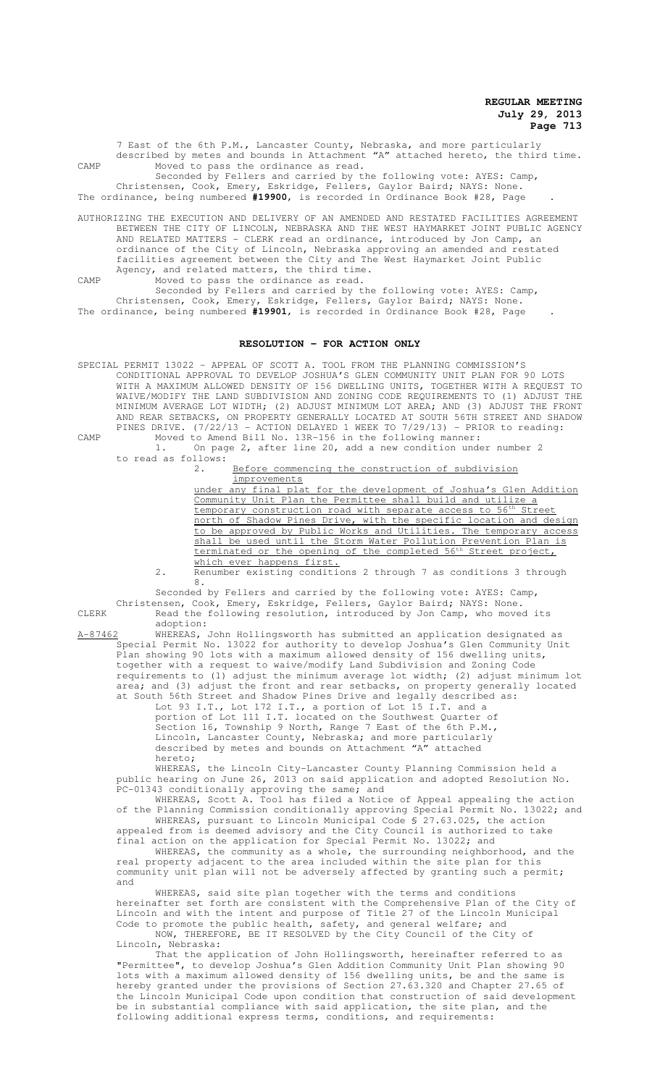7 East of the 6th P.M., Lancaster County, Nebraska, and more particularly described by metes and bounds in Attachment "A" attached hereto, the third time. CAMP Moved to pass the ordinance as read. Seconded by Fellers and carried by the following vote: AYES: Camp,

Christensen, Cook, Emery, Eskridge, Fellers, Gaylor Baird; NAYS: None. The ordinance, being numbered **#19900**, is recorded in Ordinance Book #28, Page .

AUTHORIZING THE EXECUTION AND DELIVERY OF AN AMENDED AND RESTATED FACILITIES AGREEMENT BETWEEN THE CITY OF LINCOLN, NEBRASKA AND THE WEST HAYMARKET JOINT PUBLIC AGENCY AND RELATED MATTERS - CLERK read an ordinance, introduced by Jon Camp, an ordinance of the City of Lincoln, Nebraska approving an amended and restated facilities agreement between the City and The West Haymarket Joint Public Agency, and related matters, the third time.

CAMP Moved to pass the ordinance as read.

Seconded by Fellers and carried by the following vote: AYES: Camp, Christensen, Cook, Emery, Eskridge, Fellers, Gaylor Baird; NAYS: None. The ordinance, being numbered **#19901**, is recorded in Ordinance Book #28, Page .

#### **RESOLUTION - FOR ACTION ONLY**

SPECIAL PERMIT 13022 – APPEAL OF SCOTT A. TOOL FROM THE PLANNING COMMISSION'S CONDITIONAL APPROVAL TO DEVELOP JOSHUA'S GLEN COMMUNITY UNIT PLAN FOR 90 LOTS WITH A MAXIMUM ALLOWED DENSITY OF 156 DWELLING UNITS, TOGETHER WITH A REQUEST TO WAIVE/MODIFY THE LAND SUBDIVISION AND ZONING CODE REQUIREMENTS TO (1) ADJUST THE MINIMUM AVERAGE LOT WIDTH; (2) ADJUST MINIMUM LOT AREA; AND (3) ADJUST THE FRONT AND REAR SETBACKS, ON PROPERTY GENERALLY LOCATED AT SOUTH 56TH STREET AND SHADOW PINES DRIVE. (7/22/13 - ACTION DELAYED 1 WEEK TO 7/29/13) - PRIOR to reading: CAMP Moved to Amend Bill No. 13R-156 in the following manner:

1. On page 2, after line 20, add a new condition under number 2 to read as follows:

2. Before commencing the construction of subdivision improvements

under any final plat for the development of Joshua's Glen Addition Community Unit Plan the Permittee shall build and utilize a temporary construction road with separate access to 56<sup>th</sup> Street north of Shadow Pines Drive, with the specific location and design to be approved by Public Works and Utilities. The temporary access shall be used until the Storm Water Pollution Prevention Plan is terminated or the opening of the completed  $56<sup>th</sup>$  Street project, which ever happens first.

2. Renumber existing conditions 2 through 7 as conditions 3 through 8.

Seconded by Fellers and carried by the following vote: AYES: Camp, Christensen, Cook, Emery, Eskridge, Fellers, Gaylor Baird; NAYS: None.

CLERK Read the following resolution, introduced by Jon Camp, who moved its adoption:

A-87462 WHEREAS, John Hollingsworth has submitted an application designated as Special Permit No. 13022 for authority to develop Joshua's Glen Community Unit Plan showing 90 lots with a maximum allowed density of 156 dwelling units, together with a request to waive/modify Land Subdivision and Zoning Code requirements to (1) adjust the minimum average lot width; (2) adjust minimum lot area; and (3) adjust the front and rear setbacks, on property generally located at South 56th Street and Shadow Pines Drive and legally described as:

Lot 93 I.T., Lot 172 I.T., a portion of Lot 15 I.T. and a portion of Lot 111 I.T. located on the Southwest Quarter of .<br>Section 16, Township 9 North, Range 7 East of the 6th P.M., Lincoln, Lancaster County, Nebraska; and more particularly described by metes and bounds on Attachment "A" attached hereto;

WHEREAS, the Lincoln City-Lancaster County Planning Commission held a public hearing on June 26, 2013 on said application and adopted Resolution No. .<br>PC-01343 conditionally approving the same; and

WHEREAS, Scott A. Tool has filed a Notice of Appeal appealing the action of the Planning Commission conditionally approving Special Permit No. 13022; and WHEREAS, pursuant to Lincoln Municipal Code § 27.63.025, the action

appealed from is deemed advisory and the City Council is authorized to take final action on the application for Special Permit No. 13022; and WHEREAS, the community as a whole, the surrounding neighborhood, and the

real property adjacent to the area included within the site plan for this community unit plan will not be adversely affected by granting such a permit; and

WHEREAS, said site plan together with the terms and conditions hereinafter set forth are consistent with the Comprehensive Plan of the City of Lincoln and with the intent and purpose of Title 27 of the Lincoln Municipal Code to promote the public health, safety, and general welfare; and NOW, THEREFORE, BE IT RESOLVED by the City Council of the City of

Lincoln, Nebraska: That the application of John Hollingsworth, hereinafter referred to as

"Permittee", to develop Joshua's Glen Addition Community Unit Plan showing 90 lots with a maximum allowed density of 156 dwelling units, be and the same is hereby granted under the provisions of Section 27.63.320 and Chapter 27.65 of the Lincoln Municipal Code upon condition that construction of said development be in substantial compliance with said application, the site plan, and the following additional express terms, conditions, and requirements: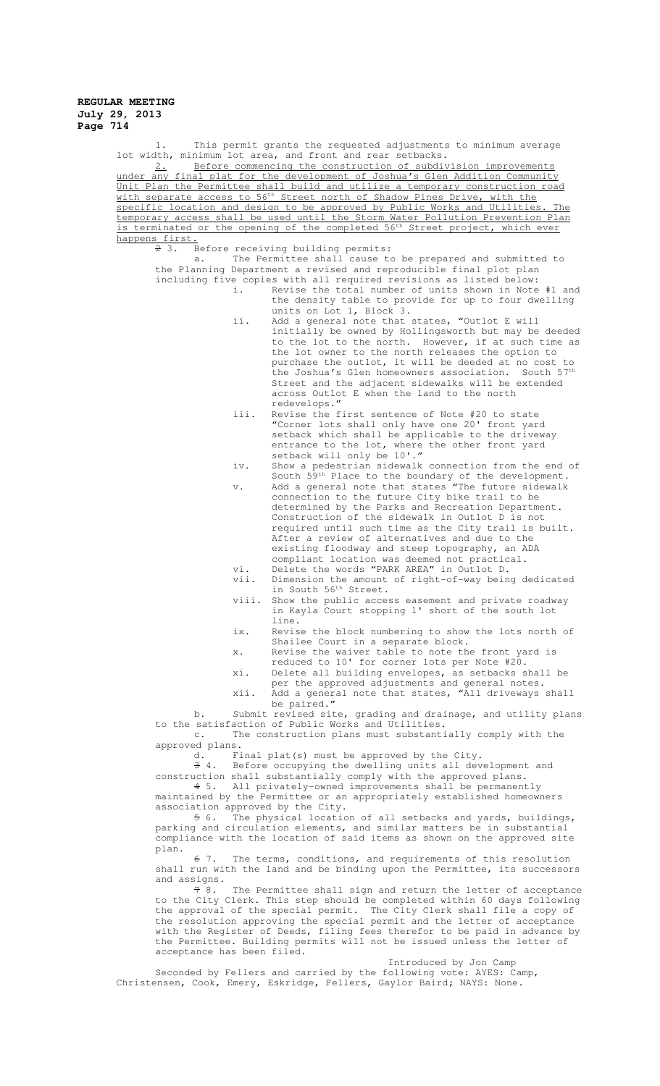| This permit grants the requested adjustments to minimum average<br>1.                                                                                                                                                     |       |                                                                                                                                                                        |  |  |
|---------------------------------------------------------------------------------------------------------------------------------------------------------------------------------------------------------------------------|-------|------------------------------------------------------------------------------------------------------------------------------------------------------------------------|--|--|
| lot width, minimum lot area, and front and rear setbacks.<br>Before commencing the construction of subdivision improvements<br>2.                                                                                         |       |                                                                                                                                                                        |  |  |
| under any final plat for the development of Joshua's Glen Addition Community                                                                                                                                              |       |                                                                                                                                                                        |  |  |
|                                                                                                                                                                                                                           |       | Unit Plan the Permittee shall build and utilize a temporary construction road<br>with separate access to 56 <sup>th</sup> Street north of Shadow Pines Drive, with the |  |  |
|                                                                                                                                                                                                                           |       | specific location and design to be approved by Public Works and Utilities. The                                                                                         |  |  |
|                                                                                                                                                                                                                           |       | temporary access shall be used until the Storm Water Pollution Prevention Plan                                                                                         |  |  |
| is terminated or the opening of the completed 56 <sup>th</sup> Street project, which ever<br>happens first.                                                                                                               |       |                                                                                                                                                                        |  |  |
| 23.<br>Before receiving building permits:                                                                                                                                                                                 |       |                                                                                                                                                                        |  |  |
| The Permittee shall cause to be prepared and submitted to<br>a.<br>the Planning Department a revised and reproducible final plot plan                                                                                     |       |                                                                                                                                                                        |  |  |
| including five copies with all required revisions as listed below:                                                                                                                                                        |       |                                                                                                                                                                        |  |  |
|                                                                                                                                                                                                                           | i.    | Revise the total number of units shown in Note #1 and<br>the density table to provide for up to four dwelling                                                          |  |  |
|                                                                                                                                                                                                                           |       | units on Lot 1, Block 3.                                                                                                                                               |  |  |
|                                                                                                                                                                                                                           | ii.   | Add a general note that states, "Outlot E will                                                                                                                         |  |  |
|                                                                                                                                                                                                                           |       | initially be owned by Hollingsworth but may be deeded<br>to the lot to the north. However, if at such time as                                                          |  |  |
|                                                                                                                                                                                                                           |       | the lot owner to the north releases the option to                                                                                                                      |  |  |
|                                                                                                                                                                                                                           |       | purchase the outlot, it will be deeded at no cost to<br>the Joshua's Glen homeowners association. South 57th                                                           |  |  |
|                                                                                                                                                                                                                           |       | Street and the adjacent sidewalks will be extended                                                                                                                     |  |  |
|                                                                                                                                                                                                                           |       | across Outlot E when the land to the north                                                                                                                             |  |  |
|                                                                                                                                                                                                                           | iii.  | redevelops."<br>Revise the first sentence of Note #20 to state                                                                                                         |  |  |
|                                                                                                                                                                                                                           |       | "Corner lots shall only have one 20' front yard                                                                                                                        |  |  |
|                                                                                                                                                                                                                           |       | setback which shall be applicable to the driveway                                                                                                                      |  |  |
|                                                                                                                                                                                                                           |       | entrance to the lot, where the other front yard<br>setback will only be 10'."                                                                                          |  |  |
|                                                                                                                                                                                                                           | iv.   | Show a pedestrian sidewalk connection from the end of                                                                                                                  |  |  |
|                                                                                                                                                                                                                           | v.    | South 59th Place to the boundary of the development.<br>Add a general note that states "The future sidewalk                                                            |  |  |
|                                                                                                                                                                                                                           |       | connection to the future City bike trail to be                                                                                                                         |  |  |
|                                                                                                                                                                                                                           |       | determined by the Parks and Recreation Department.                                                                                                                     |  |  |
|                                                                                                                                                                                                                           |       | Construction of the sidewalk in Outlot D is not<br>required until such time as the City trail is built.                                                                |  |  |
|                                                                                                                                                                                                                           |       | After a review of alternatives and due to the                                                                                                                          |  |  |
|                                                                                                                                                                                                                           |       | existing floodway and steep topography, an ADA                                                                                                                         |  |  |
|                                                                                                                                                                                                                           | vi.   | compliant location was deemed not practical.<br>Delete the words "PARK AREA" in Outlot D.                                                                              |  |  |
|                                                                                                                                                                                                                           | vii.  | Dimension the amount of right-of-way being dedicated                                                                                                                   |  |  |
|                                                                                                                                                                                                                           | viii. | in South 56 <sup>th</sup> Street.<br>Show the public access easement and private roadway                                                                               |  |  |
|                                                                                                                                                                                                                           |       | in Kayla Court stopping 1' short of the south lot                                                                                                                      |  |  |
|                                                                                                                                                                                                                           |       | line.                                                                                                                                                                  |  |  |
|                                                                                                                                                                                                                           | ix.   | Revise the block numbering to show the lots north of<br>Shailee Court in a separate block.                                                                             |  |  |
|                                                                                                                                                                                                                           | x.    | Revise the waiver table to note the front yard is                                                                                                                      |  |  |
|                                                                                                                                                                                                                           | xi.   | reduced to 10' for corner lots per Note #20.                                                                                                                           |  |  |
|                                                                                                                                                                                                                           |       | Delete all building envelopes, as setbacks shall be<br>per the approved adjustments and general notes.                                                                 |  |  |
|                                                                                                                                                                                                                           | xii.  | Add a general note that states, "All driveways shall                                                                                                                   |  |  |
| $b$ .                                                                                                                                                                                                                     |       | be paired."<br>Submit revised site, grading and drainage, and utility plans                                                                                            |  |  |
| to the satisfaction of Public Works and Utilities.                                                                                                                                                                        |       |                                                                                                                                                                        |  |  |
| The construction plans must substantially comply with the<br>$\sim$ .<br>approved plans.                                                                                                                                  |       |                                                                                                                                                                        |  |  |
| d.                                                                                                                                                                                                                        |       | Final plat(s) must be approved by the City.                                                                                                                            |  |  |
| Before occupying the dwelling units all development and<br>$\uparrow$ 4.                                                                                                                                                  |       |                                                                                                                                                                        |  |  |
| construction shall substantially comply with the approved plans.<br>$4\,5.$<br>All privately-owned improvements shall be permanently                                                                                      |       |                                                                                                                                                                        |  |  |
| maintained by the Permittee or an appropriately established homeowners                                                                                                                                                    |       |                                                                                                                                                                        |  |  |
| association approved by the City.                                                                                                                                                                                         |       |                                                                                                                                                                        |  |  |
| The physical location of all setbacks and yards, buildings,<br>56.<br>parking and circulation elements, and similar matters be in substantial<br>compliance with the location of said items as shown on the approved site |       |                                                                                                                                                                        |  |  |
| plan.<br>The terms, conditions, and requirements of this resolution<br>67.                                                                                                                                                |       |                                                                                                                                                                        |  |  |
| shall run with the land and be binding upon the Permittee, its successors                                                                                                                                                 |       |                                                                                                                                                                        |  |  |
| and assigns.                                                                                                                                                                                                              |       |                                                                                                                                                                        |  |  |
| 78.<br>The Permittee shall sign and return the letter of acceptance<br>to the City Clerk. This step should be completed within 60 days following                                                                          |       |                                                                                                                                                                        |  |  |
| the approval of the special permit. The City Clerk shall file a copy of                                                                                                                                                   |       |                                                                                                                                                                        |  |  |
| the resolution approving the special permit and the letter of acceptance<br>with the Register of Deeds, filing fees therefor to be paid in advance by                                                                     |       |                                                                                                                                                                        |  |  |
| the Permittee. Building permits will not be issued unless the letter of                                                                                                                                                   |       |                                                                                                                                                                        |  |  |
| acceptance has been filed.                                                                                                                                                                                                |       |                                                                                                                                                                        |  |  |

Introduced by Jon Camp

Seconded by Fellers and carried by the following vote: AYES: Camp, Christensen, Cook, Emery, Eskridge, Fellers, Gaylor Baird; NAYS: None.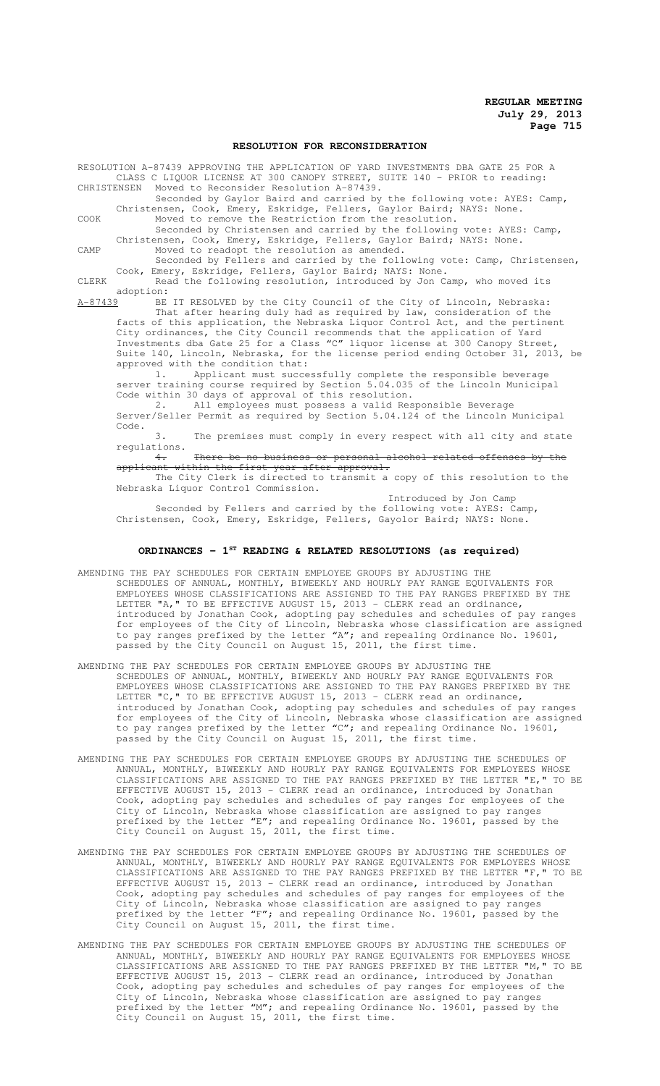## **RESOLUTION FOR RECONSIDERATION**

RESOLUTION A-87439 APPROVING THE APPLICATION OF YARD INVESTMENTS DBA GATE 25 FOR A CLASS C LIQUOR LICENSE AT 300 CANOPY STREET, SUITE 140 - PRIOR to reading:<br>CHRISTENSEN Moved to Reconsider Resolution A-87439. Moved to Reconsider Resolution A-87439. Seconded by Gaylor Baird and carried by the following vote: AYES: Camp, Christensen, Cook, Emery, Eskridge, Fellers, Gaylor Baird; NAYS: None. COOK Moved to remove the Restriction from the resolution. Seconded by Christensen and carried by the following vote: AYES: Camp, Christensen, Cook, Emery, Eskridge, Fellers, Gaylor Baird; NAYS: None. CAMP Moved to readopt the resolution as amended. Seconded by Fellers and carried by the following vote: Camp, Christensen, Cook, Emery, Eskridge, Fellers, Gaylor Baird; NAYS: None. CLERK Read the following resolution, introduced by Jon Camp, who moved its adoption:<br><u>A-87439</u> BE BE IT RESOLVED by the City Council of the City of Lincoln, Nebraska: That after hearing duly had as required by law, consideration of the facts of this application, the Nebraska Liquor Control Act, and the pertinent City ordinances, the City Council recommends that the application of Yard Investments dba Gate 25 for a Class "C" liquor license at 300 Canopy Street, Suite 140, Lincoln, Nebraska, for the license period ending October 31, 2013, be approved with the condition that: 1. Applicant must successfully complete the responsible beverage server training course required by Section 5.04.035 of the Lincoln Municipal Code within 30 days of approval of this resolution. 2. All employees must possess a valid Responsible Beverage Server/Seller Permit as required by Section 5.04.124 of the Lincoln Municipal Code.

3. The premises must comply in every respect with all city and state regulations.

There be no business or personal alcohol related offenses by the<br>thin the first vear after approval. applicant within the first year after approval.

The City Clerk is directed to transmit a copy of this resolution to the Nebraska Liquor Control Commission.

Introduced by Jon Camp Seconded by Fellers and carried by the following vote: AYES: Camp, Christensen, Cook, Emery, Eskridge, Fellers, Gayolor Baird; NAYS: None.

#### **ORDINANCES - 1ST READING & RELATED RESOLUTIONS (as required)**

- AMENDING THE PAY SCHEDULES FOR CERTAIN EMPLOYEE GROUPS BY ADJUSTING THE SCHEDULES OF ANNUAL, MONTHLY, BIWEEKLY AND HOURLY PAY RANGE EQUIVALENTS FOR EMPLOYEES WHOSE CLASSIFICATIONS ARE ASSIGNED TO THE PAY RANGES PREFIXED BY THE LETTER "A," TO BE EFFECTIVE AUGUST 15, 2013 - CLERK read an ordinance, introduced by Jonathan Cook, adopting pay schedules and schedules of pay ranges for employees of the City of Lincoln, Nebraska whose classification are assigned to pay ranges prefixed by the letter "A"; and repealing Ordinance No. 19601, passed by the City Council on August 15, 2011, the first time.
- AMENDING THE PAY SCHEDULES FOR CERTAIN EMPLOYEE GROUPS BY ADJUSTING THE SCHEDULES OF ANNUAL, MONTHLY, BIWEEKLY AND HOURLY PAY RANGE EQUIVALENTS FOR EMPLOYEES WHOSE CLASSIFICATIONS ARE ASSIGNED TO THE PAY RANGES PREFIXED BY THE LETTER "C, " TO BE EFFECTIVE AUGUST 15, 2013 - CLERK read an ordinance, introduced by Jonathan Cook, adopting pay schedules and schedules of pay ranges for employees of the City of Lincoln, Nebraska whose classification are assigned to pay ranges prefixed by the letter "C"; and repealing Ordinance No. 19601, passed by the City Council on August 15, 2011, the first time.
- AMENDING THE PAY SCHEDULES FOR CERTAIN EMPLOYEE GROUPS BY ADJUSTING THE SCHEDULES OF ANNUAL, MONTHLY, BIWEEKLY AND HOURLY PAY RANGE EQUIVALENTS FOR EMPLOYEES WHOSE CLASSIFICATIONS ARE ASSIGNED TO THE PAY RANGES PREFIXED BY THE LETTER "E," TO BE EFFECTIVE AUGUST 15, 2013 - CLERK read an ordinance, introduced by Jonathan Cook, adopting pay schedules and schedules of pay ranges for employees of the City of Lincoln, Nebraska whose classification are assigned to pay ranges prefixed by the letter "E"; and repealing Ordinance No. 19601, passed by the City Council on August 15, 2011, the first time.
- AMENDING THE PAY SCHEDULES FOR CERTAIN EMPLOYEE GROUPS BY ADJUSTING THE SCHEDULES OF ANNUAL, MONTHLY, BIWEEKLY AND HOURLY PAY RANGE EQUIVALENTS FOR EMPLOYEES WHOSE CLASSIFICATIONS ARE ASSIGNED TO THE PAY RANGES PREFIXED BY THE LETTER "F," TO BE EFFECTIVE AUGUST 15, 2013 - CLERK read an ordinance, introduced by Jonathan Cook, adopting pay schedules and schedules of pay ranges for employees of the City of Lincoln, Nebraska whose classification are assigned to pay ranges prefixed by the letter "F"; and repealing Ordinance No. 19601, passed by the City Council on August 15, 2011, the first time.
- AMENDING THE PAY SCHEDULES FOR CERTAIN EMPLOYEE GROUPS BY ADJUSTING THE SCHEDULES OF ANNUAL, MONTHLY, BIWEEKLY AND HOURLY PAY RANGE EQUIVALENTS FOR EMPLOYEES WHOSE CLASSIFICATIONS ARE ASSIGNED TO THE PAY RANGES PREFIXED BY THE LETTER "M," TO BE EFFECTIVE AUGUST 15, 2013 - CLERK read an ordinance, introduced by Jonathan Cook, adopting pay schedules and schedules of pay ranges for employees of the City of Lincoln, Nebraska whose classification are assigned to pay ranges prefixed by the letter "M"; and repealing Ordinance No. 19601, passed by the City Council on August 15, 2011, the first time.